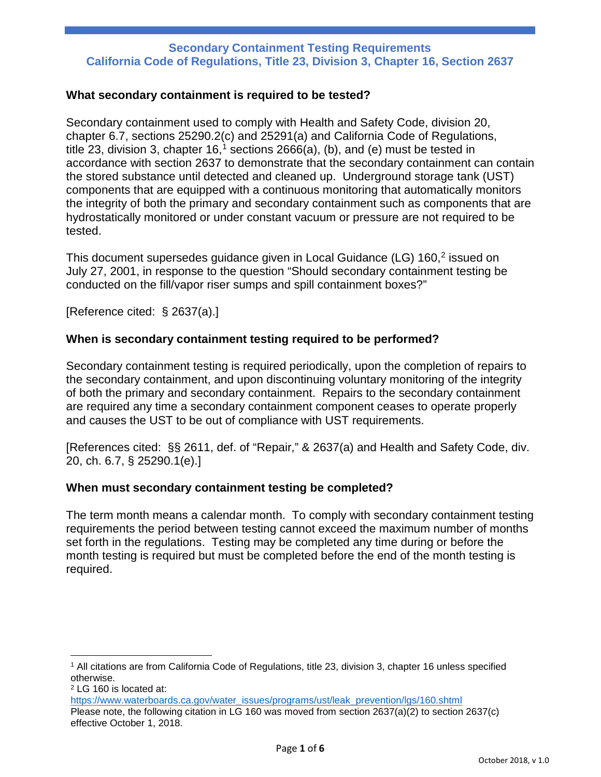### **What secondary containment is required to be tested?**

Secondary containment used to comply with Health and Safety Code, division 20, chapter 6.7, sections 25290.2(c) and 25291(a) and California Code of Regulations, title 23, division 3, chapter  $16<sup>1</sup>$  $16<sup>1</sup>$  sections 2666(a), (b), and (e) must be tested in accordance with section 2637 to demonstrate that the secondary containment can contain the stored substance until detected and cleaned up. Underground storage tank (UST) components that are equipped with a continuous monitoring that automatically monitors the integrity of both the primary and secondary containment such as components that are hydrostatically monitored or under constant vacuum or pressure are not required to be tested.

This document supersedes guidance given in Local Guidance (LG) 160, [2](#page-0-1) issued on July 27, 2001, in response to the question "Should secondary containment testing be conducted on the fill/vapor riser sumps and spill containment boxes?"

[Reference cited: § 2637(a).]

# **When is secondary containment testing required to be performed?**

Secondary containment testing is required periodically, upon the completion of repairs to the secondary containment, and upon discontinuing voluntary monitoring of the integrity of both the primary and secondary containment. Repairs to the secondary containment are required any time a secondary containment component ceases to operate properly and causes the UST to be out of compliance with UST requirements.

[References cited: §§ 2611, def. of "Repair," & 2637(a) and Health and Safety Code, div. 20, ch. 6.7, § 25290.1(e).]

#### **When must secondary containment testing be completed?**

The term month means a calendar month. To comply with secondary containment testing requirements the period between testing cannot exceed the maximum number of months set forth in the regulations. Testing may be completed any time during or before the month testing is required but must be completed before the end of the month testing is required.

l

<span id="page-0-0"></span><sup>1</sup> All citations are from California Code of Regulations, title 23, division 3, chapter 16 unless specified otherwise.

<span id="page-0-1"></span><sup>2</sup> LG 160 is located at:

[https://www.waterboards.ca.gov/water\\_issues/programs/ust/leak\\_prevention/lgs/160.shtml](https://www.waterboards.ca.gov/water_issues/programs/ust/leak_prevention/lgs/160.shtml) Please note, the following citation in LG 160 was moved from section 2637(a)(2) to section 2637(c) effective October 1, 2018.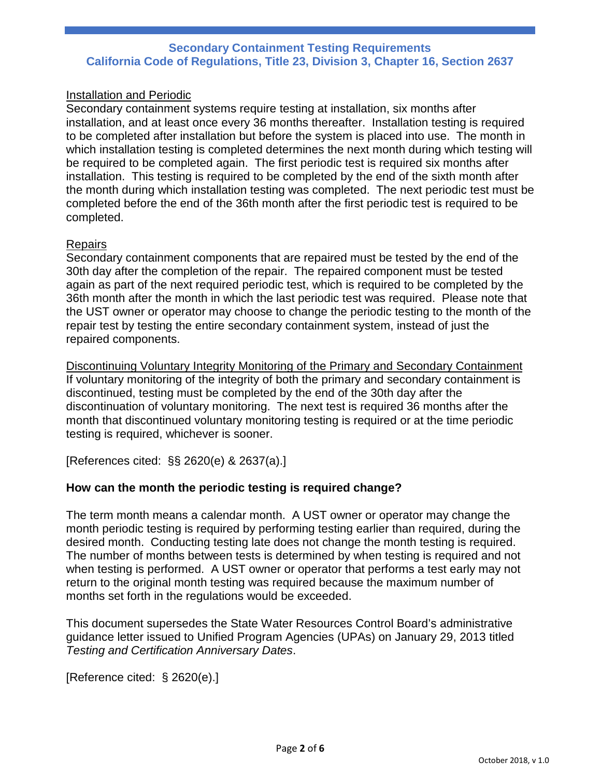# Installation and Periodic

Secondary containment systems require testing at installation, six months after installation, and at least once every 36 months thereafter. Installation testing is required to be completed after installation but before the system is placed into use. The month in which installation testing is completed determines the next month during which testing will be required to be completed again. The first periodic test is required six months after installation. This testing is required to be completed by the end of the sixth month after the month during which installation testing was completed. The next periodic test must be completed before the end of the 36th month after the first periodic test is required to be completed.

### **Repairs**

Secondary containment components that are repaired must be tested by the end of the 30th day after the completion of the repair. The repaired component must be tested again as part of the next required periodic test, which is required to be completed by the 36th month after the month in which the last periodic test was required. Please note that the UST owner or operator may choose to change the periodic testing to the month of the repair test by testing the entire secondary containment system, instead of just the repaired components.

Discontinuing Voluntary Integrity Monitoring of the Primary and Secondary Containment If voluntary monitoring of the integrity of both the primary and secondary containment is discontinued, testing must be completed by the end of the 30th day after the discontinuation of voluntary monitoring. The next test is required 36 months after the month that discontinued voluntary monitoring testing is required or at the time periodic testing is required, whichever is sooner.

[References cited: §§ 2620(e) & 2637(a).]

# **How can the month the periodic testing is required change?**

The term month means a calendar month. A UST owner or operator may change the month periodic testing is required by performing testing earlier than required, during the desired month. Conducting testing late does not change the month testing is required. The number of months between tests is determined by when testing is required and not when testing is performed. A UST owner or operator that performs a test early may not return to the original month testing was required because the maximum number of months set forth in the regulations would be exceeded.

This document supersedes the State Water Resources Control Board's administrative guidance letter issued to Unified Program Agencies (UPAs) on January 29, 2013 titled *Testing and Certification Anniversary Dates*.

[Reference cited: § 2620(e).]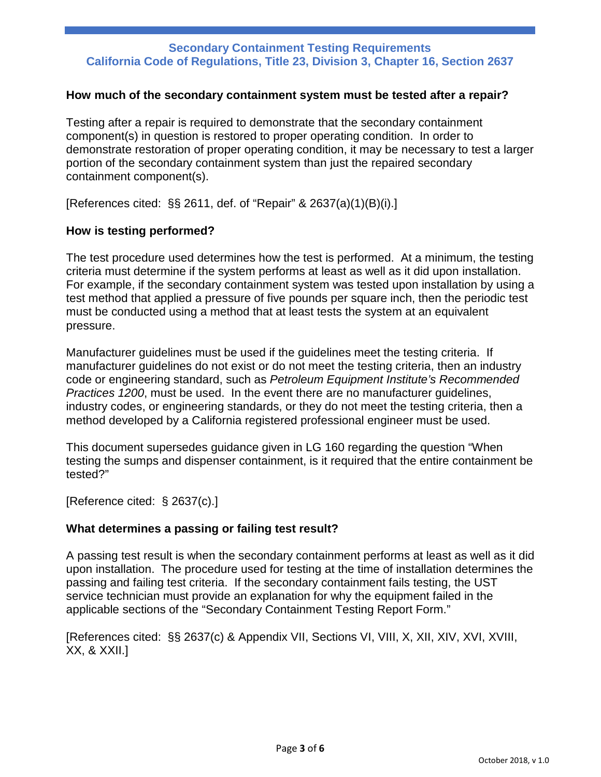### **How much of the secondary containment system must be tested after a repair?**

Testing after a repair is required to demonstrate that the secondary containment component(s) in question is restored to proper operating condition. In order to demonstrate restoration of proper operating condition, it may be necessary to test a larger portion of the secondary containment system than just the repaired secondary containment component(s).

[References cited: §§ 2611, def. of "Repair" & 2637(a)(1)(B)(i).]

### **How is testing performed?**

The test procedure used determines how the test is performed. At a minimum, the testing criteria must determine if the system performs at least as well as it did upon installation. For example, if the secondary containment system was tested upon installation by using a test method that applied a pressure of five pounds per square inch, then the periodic test must be conducted using a method that at least tests the system at an equivalent pressure.

Manufacturer guidelines must be used if the guidelines meet the testing criteria. If manufacturer guidelines do not exist or do not meet the testing criteria, then an industry code or engineering standard, such as *Petroleum Equipment Institute's Recommended Practices 1200*, must be used. In the event there are no manufacturer guidelines, industry codes, or engineering standards, or they do not meet the testing criteria, then a method developed by a California registered professional engineer must be used.

This document supersedes guidance given in LG 160 regarding the question "When testing the sumps and dispenser containment, is it required that the entire containment be tested?"

[Reference cited: § 2637(c).]

# **What determines a passing or failing test result?**

A passing test result is when the secondary containment performs at least as well as it did upon installation. The procedure used for testing at the time of installation determines the passing and failing test criteria. If the secondary containment fails testing, the UST service technician must provide an explanation for why the equipment failed in the applicable sections of the "Secondary Containment Testing Report Form."

[References cited: §§ 2637(c) & Appendix VII, Sections VI, VIII, X, XII, XIV, XVI, XVIII, XX, & XXII.]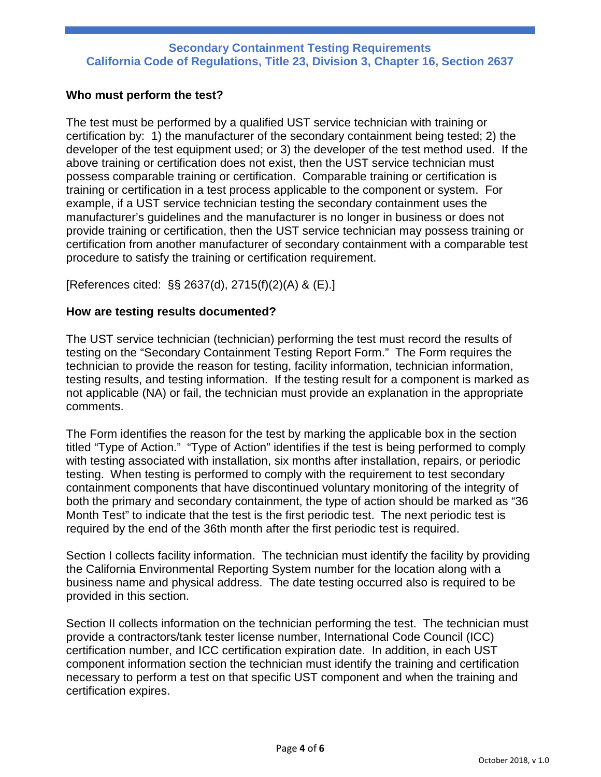# **Who must perform the test?**

The test must be performed by a qualified UST service technician with training or certification by: 1) the manufacturer of the secondary containment being tested; 2) the developer of the test equipment used; or 3) the developer of the test method used. If the above training or certification does not exist, then the UST service technician must possess comparable training or certification. Comparable training or certification is training or certification in a test process applicable to the component or system. For example, if a UST service technician testing the secondary containment uses the manufacturer's guidelines and the manufacturer is no longer in business or does not provide training or certification, then the UST service technician may possess training or certification from another manufacturer of secondary containment with a comparable test procedure to satisfy the training or certification requirement.

[References cited: §§ 2637(d), 2715(f)(2)(A) & (E).]

# **How are testing results documented?**

The UST service technician (technician) performing the test must record the results of testing on the "Secondary Containment Testing Report Form." The Form requires the technician to provide the reason for testing, facility information, technician information, testing results, and testing information. If the testing result for a component is marked as not applicable (NA) or fail, the technician must provide an explanation in the appropriate comments.

The Form identifies the reason for the test by marking the applicable box in the section titled "Type of Action." "Type of Action" identifies if the test is being performed to comply with testing associated with installation, six months after installation, repairs, or periodic testing. When testing is performed to comply with the requirement to test secondary containment components that have discontinued voluntary monitoring of the integrity of both the primary and secondary containment, the type of action should be marked as "36 Month Test" to indicate that the test is the first periodic test. The next periodic test is required by the end of the 36th month after the first periodic test is required.

Section I collects facility information. The technician must identify the facility by providing the California Environmental Reporting System number for the location along with a business name and physical address. The date testing occurred also is required to be provided in this section.

Section II collects information on the technician performing the test. The technician must provide a contractors/tank tester license number, International Code Council (ICC) certification number, and ICC certification expiration date. In addition, in each UST component information section the technician must identify the training and certification necessary to perform a test on that specific UST component and when the training and certification expires.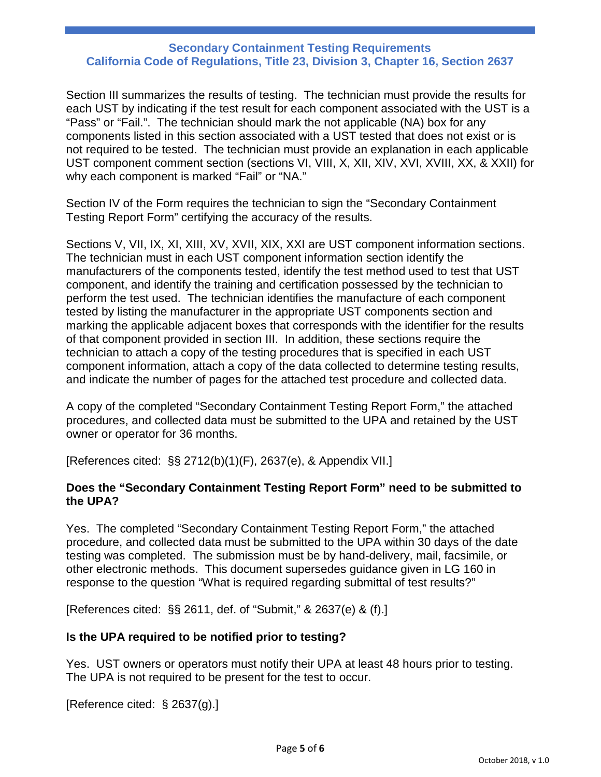Section III summarizes the results of testing. The technician must provide the results for each UST by indicating if the test result for each component associated with the UST is a "Pass" or "Fail.". The technician should mark the not applicable (NA) box for any components listed in this section associated with a UST tested that does not exist or is not required to be tested. The technician must provide an explanation in each applicable UST component comment section (sections VI, VIII, X, XII, XIV, XVI, XVIII, XX, & XXII) for why each component is marked "Fail" or "NA."

Section IV of the Form requires the technician to sign the "Secondary Containment Testing Report Form" certifying the accuracy of the results.

Sections V, VII, IX, XI, XIII, XV, XVII, XIX, XXI are UST component information sections. The technician must in each UST component information section identify the manufacturers of the components tested, identify the test method used to test that UST component, and identify the training and certification possessed by the technician to perform the test used. The technician identifies the manufacture of each component tested by listing the manufacturer in the appropriate UST components section and marking the applicable adjacent boxes that corresponds with the identifier for the results of that component provided in section III. In addition, these sections require the technician to attach a copy of the testing procedures that is specified in each UST component information, attach a copy of the data collected to determine testing results, and indicate the number of pages for the attached test procedure and collected data.

A copy of the completed "Secondary Containment Testing Report Form," the attached procedures, and collected data must be submitted to the UPA and retained by the UST owner or operator for 36 months.

[References cited: §§ 2712(b)(1)(F), 2637(e), & Appendix VII.]

# **Does the "Secondary Containment Testing Report Form" need to be submitted to the UPA?**

Yes. The completed "Secondary Containment Testing Report Form," the attached procedure, and collected data must be submitted to the UPA within 30 days of the date testing was completed. The submission must be by hand-delivery, mail, facsimile, or other electronic methods. This document supersedes guidance given in LG 160 in response to the question "What is required regarding submittal of test results?"

[References cited: §§ 2611, def. of "Submit," & 2637(e) & (f).]

# **Is the UPA required to be notified prior to testing?**

Yes. UST owners or operators must notify their UPA at least 48 hours prior to testing. The UPA is not required to be present for the test to occur.

[Reference cited: § 2637(g).]